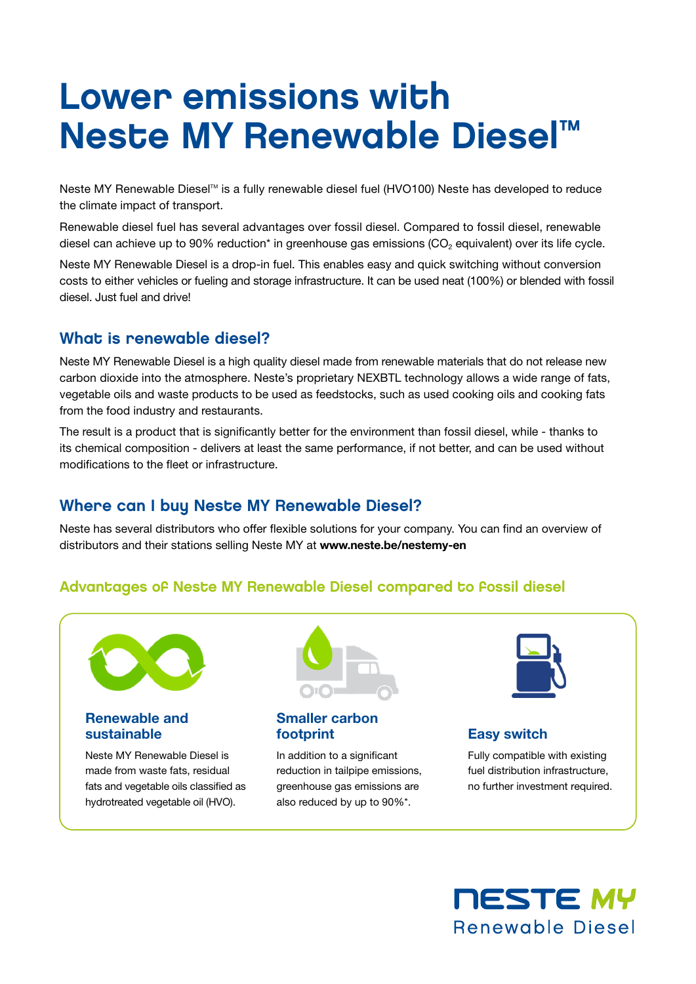# Lower emissions with Neste MY Renewable Diesel™

Neste MY Renewable Diesel™ is a fully renewable diesel fuel (HVO100) Neste has developed to reduce the climate impact of transport.

Renewable diesel fuel has several advantages over fossil diesel. Compared to fossil diesel, renewable diesel can achieve up to 90% reduction<sup>\*</sup> in greenhouse gas emissions (CO<sub>2</sub> equivalent) over its life cycle.

Neste MY Renewable Diesel is a drop-in fuel. This enables easy and quick switching without conversion costs to either vehicles or fueling and storage infrastructure. It can be used neat (100%) or blended with fossil diesel. Just fuel and drive!

## What is renewable diesel?

Neste MY Renewable Diesel is a high quality diesel made from renewable materials that do not release new carbon dioxide into the atmosphere. Neste's proprietary NEXBTL technology allows a wide range of fats, vegetable oils and waste products to be used as feedstocks, such as used cooking oils and cooking fats from the food industry and restaurants.

The result is a product that is significantly better for the environment than fossil diesel, while - thanks to its chemical composition - delivers at least the same performance, if not better, and can be used without modifications to the fleet or infrastructure.

# Where can I buy Neste MY Renewable Diesel?

Neste has several distributors who offer flexible solutions for your company. You can find an overview of distributors and their stations selling Neste MY at www.neste.be/nestemy-en

#### Advantages of Neste MY Renewable Diesel compared to fossil diesel